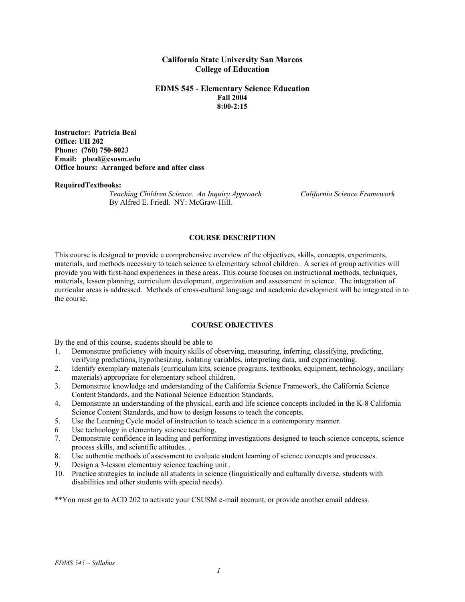### **California State University San Marcos College of Education**

#### **EDMS 545 - Elementary Science Education Fall 2004 8:00-2:15**

**Instructor: Patricia Beal Office: UH 202 Phone: (760) 750-8023 Email: pbeal@csusm.edu Office hours: Arranged before and after class** 

#### **RequiredTextbooks:**

*Teaching Children Science. An Inquiry Approach California Science Framework* By Alfred E. Friedl. NY: McGraw-Hill.

#### **COURSE DESCRIPTION**

This course is designed to provide a comprehensive overview of the objectives, skills, concepts, experiments, materials, and methods necessary to teach science to elementary school children. A series of group activities will provide you with first-hand experiences in these areas. This course focuses on instructional methods, techniques, materials, lesson planning, curriculum development, organization and assessment in science. The integration of curricular areas is addressed. Methods of cross-cultural language and academic development will be integrated in to the course.

### **COURSE OBJECTIVES**

By the end of this course, students should be able to

- 1. Demonstrate proficiency with inquiry skills of observing, measuring, inferring, classifying, predicting, verifying predictions, hypothesizing, isolating variables, interpreting data, and experimenting.
- 2. Identify exemplary materials (curriculum kits, science programs, textbooks, equipment, technology, ancillary materials) appropriate for elementary school children.
- 3. Demonstrate knowledge and understanding of the California Science Framework, the California Science Content Standards, and the National Science Education Standards.
- 4. Demonstrate an understanding of the physical, earth and life science concepts included in the K-8 California Science Content Standards, and how to design lessons to teach the concepts.
- 5. Use the Learning Cycle model of instruction to teach science in a contemporary manner.
- 6 Use technology in elementary science teaching.
- 7. Demonstrate confidence in leading and performing investigations designed to teach science concepts, science process skills, and scientific attitudes. .
- 8. Use authentic methods of assessment to evaluate student learning of science concepts and processes.
- 9. Design a 3-lesson elementary science teaching unit .
- 10. Practice strategies to include all students in science (linguistically and culturally diverse, students with disabilities and other students with special needs).

\*\*You must go to ACD 202 to activate your CSUSM e-mail account, or provide another email address.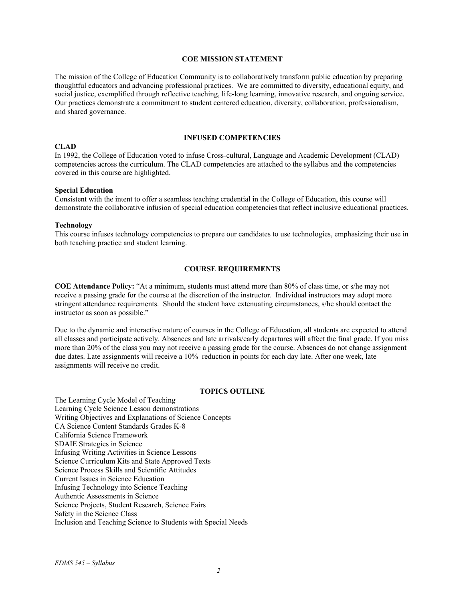#### **COE MISSION STATEMENT**

The mission of the College of Education Community is to collaboratively transform public education by preparing thoughtful educators and advancing professional practices. We are committed to diversity, educational equity, and social justice, exemplified through reflective teaching, life-long learning, innovative research, and ongoing service. Our practices demonstrate a commitment to student centered education, diversity, collaboration, professionalism, and shared governance.

#### **INFUSED COMPETENCIES**

### **CLAD**

In 1992, the College of Education voted to infuse Cross-cultural, Language and Academic Development (CLAD) competencies across the curriculum. The CLAD competencies are attached to the syllabus and the competencies covered in this course are highlighted.

#### **Special Education**

Consistent with the intent to offer a seamless teaching credential in the College of Education, this course will demonstrate the collaborative infusion of special education competencies that reflect inclusive educational practices.

#### **Technology**

This course infuses technology competencies to prepare our candidates to use technologies, emphasizing their use in both teaching practice and student learning.

#### **COURSE REQUIREMENTS**

**COE Attendance Policy:** "At a minimum, students must attend more than 80% of class time, or s/he may not receive a passing grade for the course at the discretion of the instructor. Individual instructors may adopt more stringent attendance requirements. Should the student have extenuating circumstances, s/he should contact the instructor as soon as possible."

Due to the dynamic and interactive nature of courses in the College of Education, all students are expected to attend all classes and participate actively. Absences and late arrivals/early departures will affect the final grade. If you miss more than 20% of the class you may not receive a passing grade for the course. Absences do not change assignment due dates. Late assignments will receive a 10% reduction in points for each day late. After one week, late assignments will receive no credit.

#### **TOPICS OUTLINE**

The Learning Cycle Model of Teaching Learning Cycle Science Lesson demonstrations Writing Objectives and Explanations of Science Concepts CA Science Content Standards Grades K-8 California Science Framework SDAIE Strategies in Science Infusing Writing Activities in Science Lessons Science Curriculum Kits and State Approved Texts Science Process Skills and Scientific Attitudes Current Issues in Science Education Infusing Technology into Science Teaching Authentic Assessments in Science Science Projects, Student Research, Science Fairs Safety in the Science Class Inclusion and Teaching Science to Students with Special Needs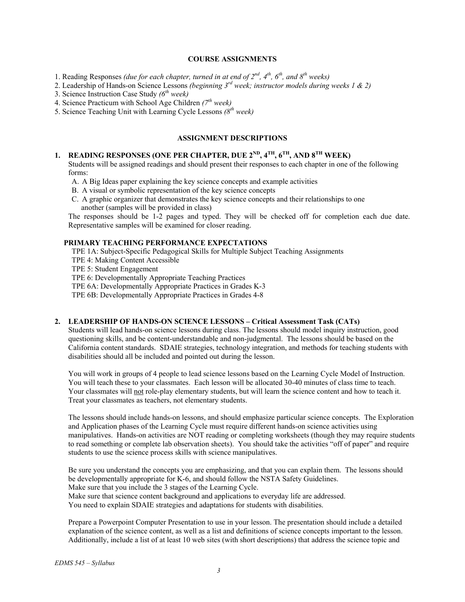### **COURSE ASSIGNMENTS**

- 1. Reading Responses *(due for each chapter, turned in at end of 2nd, 4th, 6th, and 8th weeks)*
- 2. Leadership of Hands-on Science Lessons *(beginning 3rd week; instructor models during weeks 1 & 2)*
- 3. Science Instruction Case Study *(6th week)*
- 4. Science Practicum with School Age Children *(7th week)*
- 5. Science Teaching Unit with Learning Cycle Lessons *(8th week)*

# **ASSIGNMENT DESCRIPTIONS**

# 1. READING RESPONSES (ONE PER CHAPTER, DUE 2<sup>ND</sup>, 4<sup>TH</sup>, 6<sup>TH</sup>, AND 8<sup>TH</sup> WEEK)

Students will be assigned readings and should present their responses to each chapter in one of the following forms:

- A. A Big Ideas paper explaining the key science concepts and example activities
- B. A visual or symbolic representation of the key science concepts
- C. A graphic organizer that demonstrates the key science concepts and their relationships to one another (samples will be provided in class)

The responses should be 1-2 pages and typed. They will be checked off for completion each due date. Representative samples will be examined for closer reading.

### **PRIMARY TEACHING PERFORMANCE EXPECTATIONS**

TPE 1A: Subject-Specific Pedagogical Skills for Multiple Subject Teaching Assignments

- TPE 4: Making Content Accessible
- TPE 5: Student Engagement

TPE 6: Developmentally Appropriate Teaching Practices

TPE 6A: Developmentally Appropriate Practices in Grades K-3

TPE 6B: Developmentally Appropriate Practices in Grades 4-8

#### **2. LEADERSHIP OF HANDS-ON SCIENCE LESSONS – Critical Assessment Task (CATs)**

Students will lead hands-on science lessons during class. The lessons should model inquiry instruction, good questioning skills, and be content-understandable and non-judgmental. The lessons should be based on the California content standards. SDAIE strategies, technology integration, and methods for teaching students with disabilities should all be included and pointed out during the lesson.

You will work in groups of 4 people to lead science lessons based on the Learning Cycle Model of Instruction. You will teach these to your classmates. Each lesson will be allocated 30-40 minutes of class time to teach. Your classmates will not role-play elementary students, but will learn the science content and how to teach it. Treat your classmates as teachers, not elementary students.

The lessons should include hands-on lessons, and should emphasize particular science concepts. The Exploration and Application phases of the Learning Cycle must require different hands-on science activities using manipulatives. Hands-on activities are NOT reading or completing worksheets (though they may require students to read something or complete lab observation sheets). You should take the activities "off of paper" and require students to use the science process skills with science manipulatives.

Be sure you understand the concepts you are emphasizing, and that you can explain them. The lessons should be developmentally appropriate for K-6, and should follow the NSTA Safety Guidelines. Make sure that you include the 3 stages of the Learning Cycle. Make sure that science content background and applications to everyday life are addressed. You need to explain SDAIE strategies and adaptations for students with disabilities.

Prepare a Powerpoint Computer Presentation to use in your lesson. The presentation should include a detailed explanation of the science content, as well as a list and definitions of science concepts important to the lesson. Additionally, include a list of at least 10 web sites (with short descriptions) that address the science topic and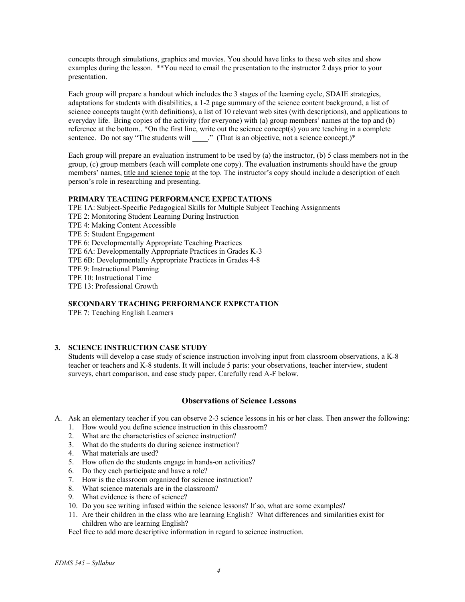concepts through simulations, graphics and movies. You should have links to these web sites and show examples during the lesson. \*\*You need to email the presentation to the instructor 2 days prior to your presentation.

Each group will prepare a handout which includes the 3 stages of the learning cycle, SDAIE strategies, adaptations for students with disabilities, a 1-2 page summary of the science content background, a list of science concepts taught (with definitions), a list of 10 relevant web sites (with descriptions), and applications to everyday life. Bring copies of the activity (for everyone) with (a) group members' names at the top and (b) reference at the bottom.. \*On the first line, write out the science concept(s) you are teaching in a complete sentence. Do not say "The students will \_\_\_\_." (That is an objective, not a science concept.)\*

Each group will prepare an evaluation instrument to be used by (a) the instructor, (b) 5 class members not in the group, (c) group members (each will complete one copy). The evaluation instruments should have the group members' names, title and science topic at the top. The instructor's copy should include a description of each person's role in researching and presenting.

#### **PRIMARY TEACHING PERFORMANCE EXPECTATIONS**

TPE 1A: Subject-Specific Pedagogical Skills for Multiple Subject Teaching Assignments TPE 2: Monitoring Student Learning During Instruction TPE 4: Making Content Accessible TPE 5: Student Engagement TPE 6: Developmentally Appropriate Teaching Practices TPE 6A: Developmentally Appropriate Practices in Grades K-3 TPE 6B: Developmentally Appropriate Practices in Grades 4-8 TPE 9: Instructional Planning TPE 10: Instructional Time TPE 13: Professional Growth

### **SECONDARY TEACHING PERFORMANCE EXPECTATION**

TPE 7: Teaching English Learners

### **3. SCIENCE INSTRUCTION CASE STUDY**

Students will develop a case study of science instruction involving input from classroom observations, a K-8 teacher or teachers and K-8 students. It will include 5 parts: your observations, teacher interview, student surveys, chart comparison, and case study paper. Carefully read A-F below.

# **Observations of Science Lessons**

- A. Ask an elementary teacher if you can observe 2-3 science lessons in his or her class. Then answer the following:
	- 1. How would you define science instruction in this classroom?
	- 2. What are the characteristics of science instruction?
	- 3. What do the students do during science instruction?
	- 4. What materials are used?
	- 5. How often do the students engage in hands-on activities?
	- 6. Do they each participate and have a role?
	- 7. How is the classroom organized for science instruction?
	- 8. What science materials are in the classroom?
	- 9. What evidence is there of science?
	- 10. Do you see writing infused within the science lessons? If so, what are some examples?
	- 11. Are their children in the class who are learning English? What differences and similarities exist for children who are learning English?

Feel free to add more descriptive information in regard to science instruction.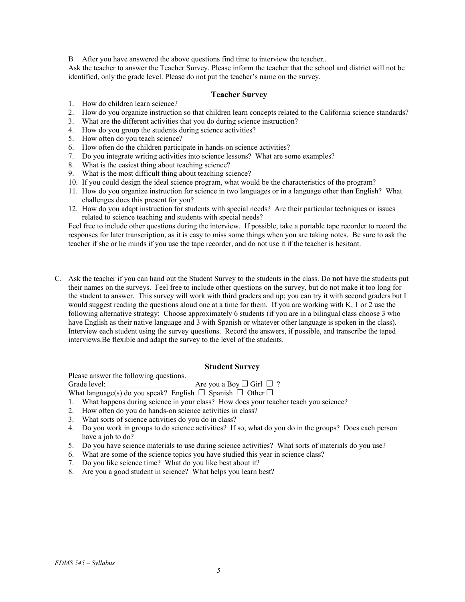B After you have answered the above questions find time to interview the teacher..

Ask the teacher to answer the Teacher Survey. Please inform the teacher that the school and district will not be identified, only the grade level. Please do not put the teacher's name on the survey.

### **Teacher Survey**

- 1. How do children learn science?
- 2. How do you organize instruction so that children learn concepts related to the California science standards?
- 3. What are the different activities that you do during science instruction?
- 4. How do you group the students during science activities?
- 5. How often do you teach science?
- 6. How often do the children participate in hands-on science activities?
- 7. Do you integrate writing activities into science lessons? What are some examples?
- 8. What is the easiest thing about teaching science?
- 9. What is the most difficult thing about teaching science?
- 10. If you could design the ideal science program, what would be the characteristics of the program?
- 11. How do you organize instruction for science in two languages or in a language other than English? What challenges does this present for you?
- 12. How do you adapt instruction for students with special needs? Are their particular techniques or issues related to science teaching and students with special needs?

Feel free to include other questions during the interview. If possible, take a portable tape recorder to record the responses for later transcription, as it is easy to miss some things when you are taking notes. Be sure to ask the teacher if she or he minds if you use the tape recorder, and do not use it if the teacher is hesitant.

C. Ask the teacher if you can hand out the Student Survey to the students in the class. Do **not** have the students put their names on the surveys. Feel free to include other questions on the survey, but do not make it too long for the student to answer. This survey will work with third graders and up; you can try it with second graders but I would suggest reading the questions aloud one at a time for them. If you are working with K, 1 or 2 use the following alternative strategy: Choose approximately 6 students (if you are in a bilingual class choose 3 who have English as their native language and 3 with Spanish or whatever other language is spoken in the class). Interview each student using the survey questions. Record the answers, if possible, and transcribe the taped interviews.Be flexible and adapt the survey to the level of the students.

#### **Student Survey**

Please answer the following questions.

Grade level: Are you a Boy **□** Girl **□** ?

- What language(s) do you speak? English  $\Box$  Spanish  $\Box$  Other  $\Box$
- 1. What happens during science in your class? How does your teacher teach you science?
- 2. How often do you do hands-on science activities in class?
- 3. What sorts of science activities do you do in class?
- 4. Do you work in groups to do science activities? If so, what do you do in the groups? Does each person have a job to do?
- 5. Do you have science materials to use during science activities? What sorts of materials do you use?
- 6. What are some of the science topics you have studied this year in science class?
- 7. Do you like science time? What do you like best about it?
- 8. Are you a good student in science? What helps you learn best?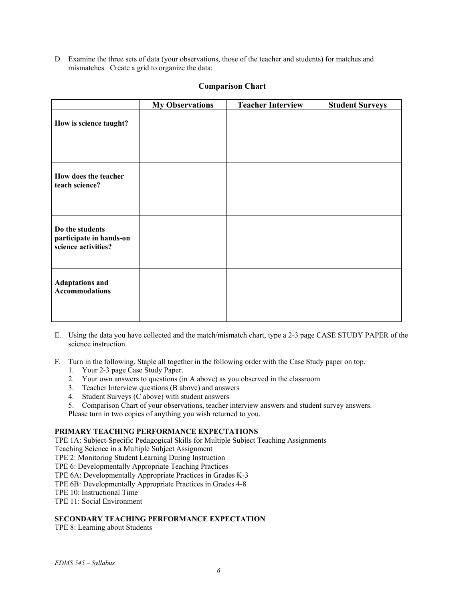D. Examine the three sets of data (your observations, those of the teacher and students) for matches and mismatches. Create a grid to organize the data:

|                                                                   | <b>My Observations</b> | <b>Teacher Interview</b> | <b>Student Surveys</b> |
|-------------------------------------------------------------------|------------------------|--------------------------|------------------------|
| How is science taught?                                            |                        |                          |                        |
| How does the teacher<br>teach science?                            |                        |                          |                        |
| Do the students<br>participate in hands-on<br>science activities? |                        |                          |                        |
| <b>Adaptations and</b><br><b>Accommodations</b>                   |                        |                          |                        |

# **Comparison Chart**

- E. Using the data you have collected and the match/mismatch chart, type a 2-3 page CASE STUDY PAPER of the science instruction.
- F. Turn in the following. Staple all together in the following order with the Case Study paper on top.
	- 1. Your 2-3 page Case Study Paper.
	- 2. Your own answers to questions (in A above) as you observed in the classroom
	- 3. Teacher Interview questions (B above) and answers
	- 4. Student Surveys (C above) with student answers
	- 5. Comparison Chart of your observations, teacher interview answers and student survey answers.

Please turn in two copies of anything you wish returned to you.

#### **PRIMARY TEACHING PERFORMANCE EXPECTATIONS**

TPE 1A: Subject-Specific Pedagogical Skills for Multiple Subject Teaching Assignments

Teaching Science in a Multiple Subject Assignment

- TPE 2: Monitoring Student Learning During Instruction
- TPE 6: Developmentally Appropriate Teaching Practices
- TPE 6A: Developmentally Appropriate Practices in Grades K-3
- TPE 6B: Developmentally Appropriate Practices in Grades 4-8

TPE 10: Instructional Time

TPE 11: Social Environment

### **SECONDARY TEACHING PERFORMANCE EXPECTATION**

TPE 8: Learning about Students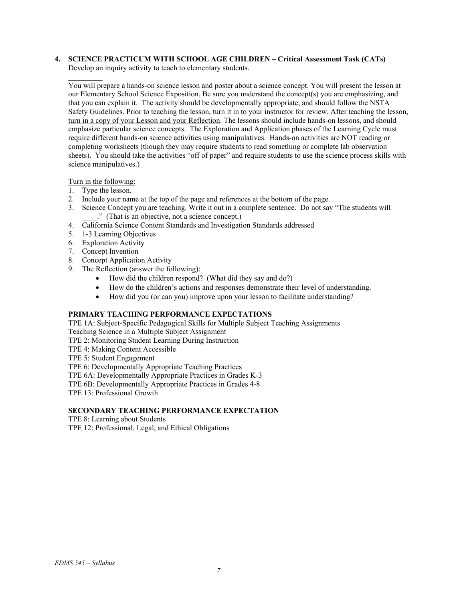# **4. SCIENCE PRACTICUM WITH SCHOOL AGE CHILDREN – Critical Assessment Task (CATs)**

Develop an inquiry activity to teach to elementary students.

You will prepare a hands-on science lesson and poster about a science concept. You will present the lesson at our Elementary School Science Exposition. Be sure you understand the concept(s) you are emphasizing, and that you can explain it. The activity should be developmentally appropriate, and should follow the NSTA Safety Guidelines. Prior to teaching the lesson, turn it in to your instructor for review. After teaching the lesson, turn in a copy of your Lesson and your Reflection. The lessons should include hands-on lessons, and should emphasize particular science concepts. The Exploration and Application phases of the Learning Cycle must require different hands-on science activities using manipulatives. Hands-on activities are NOT reading or completing worksheets (though they may require students to read something or complete lab observation sheets). You should take the activities "off of paper" and require students to use the science process skills with science manipulatives.)

Turn in the following:

- 1. Type the lesson.
- 2. Include your name at the top of the page and references at the bottom of the page.
- 3. Science Concept you are teaching. Write it out in a complete sentence. Do not say "The students will \_\_\_\_." (That is an objective, not a science concept.)
- 4. California Science Content Standards and Investigation Standards addressed
- 5. 1-3 Learning Objectives
- 6. Exploration Activity
- 7. Concept Invention
- 8. Concept Application Activity
- 9. The Reflection (answer the following):
	- How did the children respond? (What did they say and do?)
	- How do the children's actions and responses demonstrate their level of understanding.
	- How did you (or can you) improve upon your lesson to facilitate understanding?

## **PRIMARY TEACHING PERFORMANCE EXPECTATIONS**

TPE 1A: Subject-Specific Pedagogical Skills for Multiple Subject Teaching Assignments

Teaching Science in a Multiple Subject Assignment

TPE 2: Monitoring Student Learning During Instruction

- TPE 4: Making Content Accessible
- TPE 5: Student Engagement

TPE 6: Developmentally Appropriate Teaching Practices

TPE 6A: Developmentally Appropriate Practices in Grades K-3

TPE 6B: Developmentally Appropriate Practices in Grades 4-8

TPE 13: Professional Growth

# **SECONDARY TEACHING PERFORMANCE EXPECTATION**

TPE 8: Learning about Students

TPE 12: Professional, Legal, and Ethical Obligations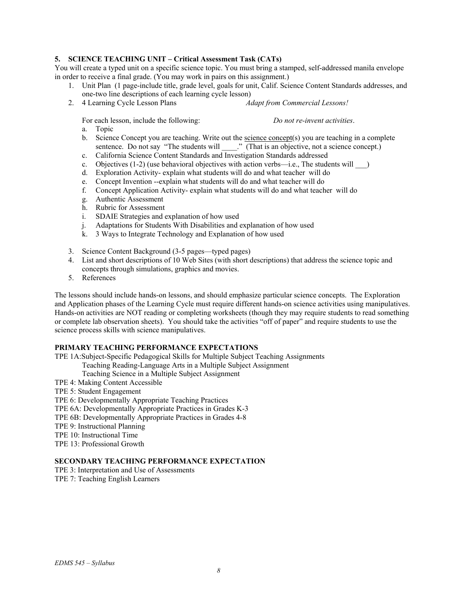## **5. SCIENCE TEACHING UNIT – Critical Assessment Task (CATs)**

You will create a typed unit on a specific science topic. You must bring a stamped, self-addressed manila envelope in order to receive a final grade. (You may work in pairs on this assignment.)

- 1. Unit Plan (1 page-include title, grade level, goals for unit, Calif. Science Content Standards addresses, and one-two line descriptions of each learning cycle lesson)
- 2. 4 Learning Cycle Lesson Plans *Adapt from Commercial Lessons!*

For each lesson, include the following: *Do not re-invent activities*.

a. Topic

- b. Science Concept you are teaching. Write out the science concept(s) you are teaching in a complete sentence. Do not say "The students will \_\_\_\_." (That is an objective, not a science concept.)
- c. California Science Content Standards and Investigation Standards addressed
- c. Objectives  $(1-2)$  (use behavioral objectives with action verbs—i.e., The students will  $\qquad$ )
- d. Exploration Activity- explain what students will do and what teacher will do
- e. Concept Invention --explain what students will do and what teacher will do
- f. Concept Application Activity- explain what students will do and what teacher will do
- g. Authentic Assessment
- h. Rubric for Assessment
- i. SDAIE Strategies and explanation of how used
- j. Adaptations for Students With Disabilities and explanation of how used
- k. 3 Ways to Integrate Technology and Explanation of how used
- 3. Science Content Background (3-5 pages—typed pages)
- 4. List and short descriptions of 10 Web Sites (with short descriptions) that address the science topic and concepts through simulations, graphics and movies.
- 5. References

The lessons should include hands-on lessons, and should emphasize particular science concepts. The Exploration and Application phases of the Learning Cycle must require different hands-on science activities using manipulatives. Hands-on activities are NOT reading or completing worksheets (though they may require students to read something or complete lab observation sheets). You should take the activities "off of paper" and require students to use the science process skills with science manipulatives.

#### **PRIMARY TEACHING PERFORMANCE EXPECTATIONS**

- TPE 1A:Subject-Specific Pedagogical Skills for Multiple Subject Teaching Assignments
	- Teaching Reading-Language Arts in a Multiple Subject Assignment

Teaching Science in a Multiple Subject Assignment

- TPE 4: Making Content Accessible
- TPE 5: Student Engagement
- TPE 6: Developmentally Appropriate Teaching Practices
- TPE 6A: Developmentally Appropriate Practices in Grades K-3
- TPE 6B: Developmentally Appropriate Practices in Grades 4-8
- TPE 9: Instructional Planning
- TPE 10: Instructional Time
- TPE 13: Professional Growth

### **SECONDARY TEACHING PERFORMANCE EXPECTATION**

- TPE 3: Interpretation and Use of Assessments
- TPE 7: Teaching English Learners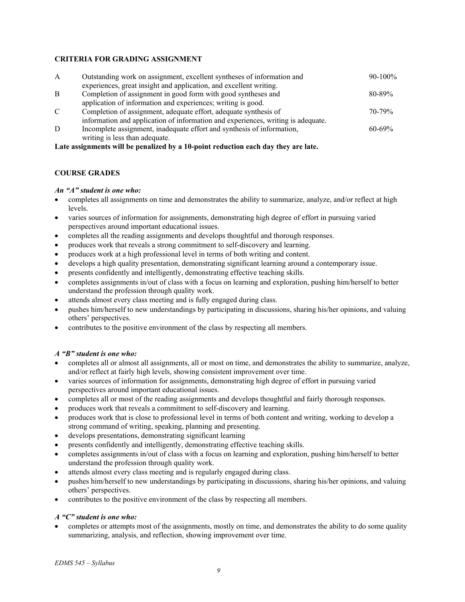### **CRITERIA FOR GRADING ASSIGNMENT**

| $\mathbf{A}$ | Outstanding work on assignment, excellent syntheses of information and<br>experiences, great insight and application, and excellent writing. | $90-100\%$  |
|--------------|----------------------------------------------------------------------------------------------------------------------------------------------|-------------|
| <sup>B</sup> | Completion of assignment in good form with good syntheses and                                                                                | $80 - 89\%$ |
|              | application of information and experiences; writing is good.                                                                                 |             |
| C            | Completion of assignment, adequate effort, adequate synthesis of                                                                             | $70 - 79%$  |
|              | information and application of information and experiences, writing is adequate.                                                             |             |
| D            | Incomplete assignment, inadequate effort and synthesis of information,                                                                       | $60 - 69\%$ |
|              | writing is less than adequate.                                                                                                               |             |

**Late assignments will be penalized by a 10-point reduction each day they are late.** 

## **COURSE GRADES**

### *An "A" student is one who:*

- completes all assignments on time and demonstrates the ability to summarize, analyze, and/or reflect at high levels.
- varies sources of information for assignments, demonstrating high degree of effort in pursuing varied perspectives around important educational issues.
- completes all the reading assignments and develops thoughtful and thorough responses.
- produces work that reveals a strong commitment to self-discovery and learning.
- produces work at a high professional level in terms of both writing and content.
- develops a high quality presentation, demonstrating significant learning around a contemporary issue.
- presents confidently and intelligently, demonstrating effective teaching skills.
- completes assignments in/out of class with a focus on learning and exploration, pushing him/herself to better understand the profession through quality work.
- attends almost every class meeting and is fully engaged during class.
- pushes him/herself to new understandings by participating in discussions, sharing his/her opinions, and valuing others' perspectives.
- contributes to the positive environment of the class by respecting all members.

### *A "B" student is one who:*

- completes all or almost all assignments, all or most on time, and demonstrates the ability to summarize, analyze, and/or reflect at fairly high levels, showing consistent improvement over time.
- varies sources of information for assignments, demonstrating high degree of effort in pursuing varied perspectives around important educational issues.
- completes all or most of the reading assignments and develops thoughtful and fairly thorough responses.
- produces work that reveals a commitment to self-discovery and learning.
- produces work that is close to professional level in terms of both content and writing, working to develop a strong command of writing, speaking, planning and presenting.
- develops presentations, demonstrating significant learning
- presents confidently and intelligently, demonstrating effective teaching skills.
- completes assignments in/out of class with a focus on learning and exploration, pushing him/herself to better understand the profession through quality work.
- attends almost every class meeting and is regularly engaged during class.
- pushes him/herself to new understandings by participating in discussions, sharing his/her opinions, and valuing others' perspectives.
- contributes to the positive environment of the class by respecting all members.

### *A "C" student is one who:*

• completes or attempts most of the assignments, mostly on time, and demonstrates the ability to do some quality summarizing, analysis, and reflection, showing improvement over time.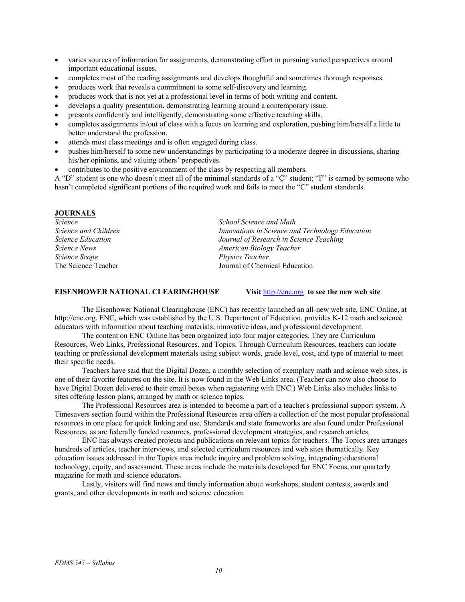- varies sources of information for assignments, demonstrating effort in pursuing varied perspectives around important educational issues.
- completes most of the reading assignments and develops thoughtful and sometimes thorough responses.
- produces work that reveals a commitment to some self-discovery and learning.
- produces work that is not yet at a professional level in terms of both writing and content.
- develops a quality presentation, demonstrating learning around a contemporary issue.
- presents confidently and intelligently, demonstrating some effective teaching skills.
- completes assignments in/out of class with a focus on learning and exploration, pushing him/herself a little to better understand the profession.
- attends most class meetings and is often engaged during class.
- pushes him/herself to some new understandings by participating to a moderate degree in discussions, sharing his/her opinions, and valuing others' perspectives.
- contributes to the positive environment of the class by respecting all members.

A "D" student is one who doesn't meet all of the minimal standards of a "C" student; "F" is earned by someone who hasn't completed significant portions of the required work and fails to meet the "C" student standards.

#### **JOURNALS**

| Science                  | School Science and Math                         |  |
|--------------------------|-------------------------------------------------|--|
| Science and Children     | Innovations in Science and Technology Education |  |
| <i>Science Education</i> | Journal of Research in Science Teaching         |  |
| <i>Science News</i>      | American Biology Teacher                        |  |
| <i>Science Scope</i>     | <i>Physics Teacher</i>                          |  |
| The Science Teacher      | Journal of Chemical Education                   |  |

#### **EISENHOWER NATIONAL CLEARINGHOUSE Visit** http://enc.org **to see the new web site**

The Eisenhower National Clearinghouse (ENC) has recently launched an all-new web site, ENC Online, at http://enc.org. ENC, which was established by the U.S. Department of Education, provides K-12 math and science educators with information about teaching materials, innovative ideas, and professional development.

The content on ENC Online has been organized into four major categories. They are Curriculum Resources, Web Links, Professional Resources, and Topics. Through Curriculum Resources, teachers can locate teaching or professional development materials using subject words, grade level, cost, and type of material to meet their specific needs.

Teachers have said that the Digital Dozen, a monthly selection of exemplary math and science web sites, is one of their favorite features on the site. It is now found in the Web Links area. (Teacher can now also choose to have Digital Dozen delivered to their email boxes when registering with ENC.) Web Links also includes links to sites offering lesson plans, arranged by math or science topics.

The Professional Resources area is intended to become a part of a teacher's professional support system. A Timesavers section found within the Professional Resources area offers a collection of the most popular professional resources in one place for quick linking and use. Standards and state frameworks are also found under Professional Resources, as are federally funded resources, professional development strategies, and research articles.

ENC has always created projects and publications on relevant topics for teachers. The Topics area arranges hundreds of articles, teacher interviews, and selected curriculum resources and web sites thematically. Key education issues addressed in the Topics area include inquiry and problem solving, integrating educational technology, equity, and assessment. These areas include the materials developed for ENC Focus, our quarterly magazine for math and science educators.

Lastly, visitors will find news and timely information about workshops, student contests, awards and grants, and other developments in math and science education.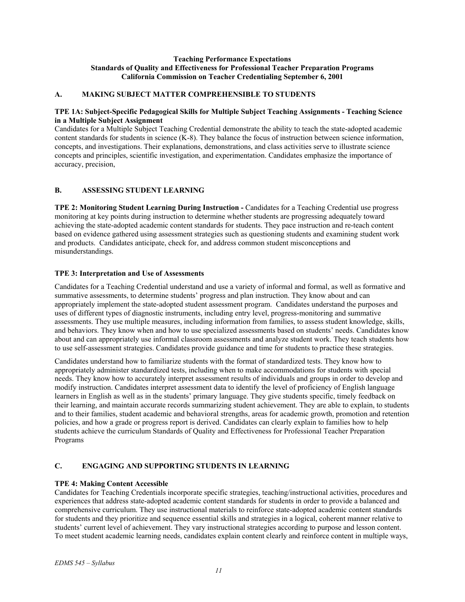### **Teaching Performance Expectations Standards of Quality and Effectiveness for Professional Teacher Preparation Programs California Commission on Teacher Credentialing September 6, 2001**

### **A. MAKING SUBJECT MATTER COMPREHENSIBLE TO STUDENTS**

#### **TPE 1A: Subject-Specific Pedagogical Skills for Multiple Subject Teaching Assignments - Teaching Science in a Multiple Subject Assignment**

Candidates for a Multiple Subject Teaching Credential demonstrate the ability to teach the state-adopted academic content standards for students in science (K-8). They balance the focus of instruction between science information, concepts, and investigations. Their explanations, demonstrations, and class activities serve to illustrate science concepts and principles, scientific investigation, and experimentation. Candidates emphasize the importance of accuracy, precision,

### **B. ASSESSING STUDENT LEARNING**

**TPE 2: Monitoring Student Learning During Instruction - Candidates for a Teaching Credential use progress** monitoring at key points during instruction to determine whether students are progressing adequately toward achieving the state-adopted academic content standards for students. They pace instruction and re-teach content based on evidence gathered using assessment strategies such as questioning students and examining student work and products. Candidates anticipate, check for, and address common student misconceptions and misunderstandings.

### **TPE 3: Interpretation and Use of Assessments**

Candidates for a Teaching Credential understand and use a variety of informal and formal, as well as formative and summative assessments, to determine students' progress and plan instruction. They know about and can appropriately implement the state-adopted student assessment program. Candidates understand the purposes and uses of different types of diagnostic instruments, including entry level, progress-monitoring and summative assessments. They use multiple measures, including information from families, to assess student knowledge, skills, and behaviors. They know when and how to use specialized assessments based on students' needs. Candidates know about and can appropriately use informal classroom assessments and analyze student work. They teach students how to use self-assessment strategies. Candidates provide guidance and time for students to practice these strategies.

Candidates understand how to familiarize students with the format of standardized tests. They know how to appropriately administer standardized tests, including when to make accommodations for students with special needs. They know how to accurately interpret assessment results of individuals and groups in order to develop and modify instruction. Candidates interpret assessment data to identify the level of proficiency of English language learners in English as well as in the students' primary language. They give students specific, timely feedback on their learning, and maintain accurate records summarizing student achievement. They are able to explain, to students and to their families, student academic and behavioral strengths, areas for academic growth, promotion and retention policies, and how a grade or progress report is derived. Candidates can clearly explain to families how to help students achieve the curriculum Standards of Quality and Effectiveness for Professional Teacher Preparation Programs

### **C. ENGAGING AND SUPPORTING STUDENTS IN LEARNING**

#### **TPE 4: Making Content Accessible**

Candidates for Teaching Credentials incorporate specific strategies, teaching/instructional activities, procedures and experiences that address state-adopted academic content standards for students in order to provide a balanced and comprehensive curriculum. They use instructional materials to reinforce state-adopted academic content standards for students and they prioritize and sequence essential skills and strategies in a logical, coherent manner relative to students' current level of achievement. They vary instructional strategies according to purpose and lesson content. To meet student academic learning needs, candidates explain content clearly and reinforce content in multiple ways,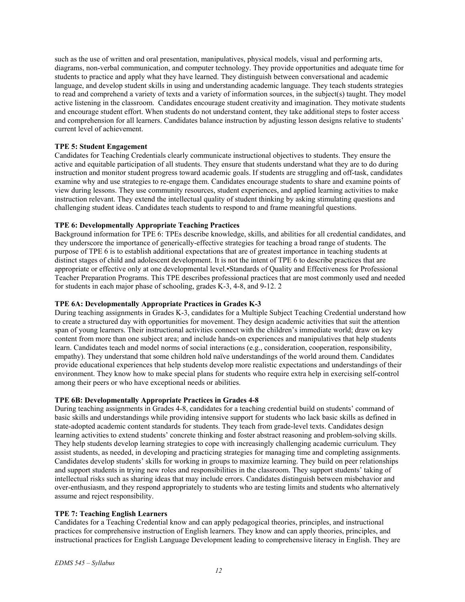such as the use of written and oral presentation, manipulatives, physical models, visual and performing arts, diagrams, non-verbal communication, and computer technology. They provide opportunities and adequate time for students to practice and apply what they have learned. They distinguish between conversational and academic language, and develop student skills in using and understanding academic language. They teach students strategies to read and comprehend a variety of texts and a variety of information sources, in the subject(s) taught. They model active listening in the classroom. Candidates encourage student creativity and imagination. They motivate students and encourage student effort. When students do not understand content, they take additional steps to foster access and comprehension for all learners. Candidates balance instruction by adjusting lesson designs relative to students' current level of achievement.

# **TPE 5: Student Engagement**

Candidates for Teaching Credentials clearly communicate instructional objectives to students. They ensure the active and equitable participation of all students. They ensure that students understand what they are to do during instruction and monitor student progress toward academic goals. If students are struggling and off-task, candidates examine why and use strategies to re-engage them. Candidates encourage students to share and examine points of view during lessons. They use community resources, student experiences, and applied learning activities to make instruction relevant. They extend the intellectual quality of student thinking by asking stimulating questions and challenging student ideas. Candidates teach students to respond to and frame meaningful questions.

### **TPE 6: Developmentally Appropriate Teaching Practices**

Background information for TPE 6: TPEs describe knowledge, skills, and abilities for all credential candidates, and they underscore the importance of generically-effective strategies for teaching a broad range of students. The purpose of TPE 6 is to establish additional expectations that are of greatest importance in teaching students at distinct stages of child and adolescent development. It is not the intent of TPE 6 to describe practices that are appropriate or effective only at one developmental level.•Standards of Quality and Effectiveness for Professional Teacher Preparation Programs. This TPE describes professional practices that are most commonly used and needed for students in each major phase of schooling, grades K-3, 4-8, and 9-12. 2

#### **TPE 6A: Developmentally Appropriate Practices in Grades K-3**

During teaching assignments in Grades K-3, candidates for a Multiple Subject Teaching Credential understand how to create a structured day with opportunities for movement. They design academic activities that suit the attention span of young learners. Their instructional activities connect with the children's immediate world; draw on key content from more than one subject area; and include hands-on experiences and manipulatives that help students learn. Candidates teach and model norms of social interactions (e.g., consideration, cooperation, responsibility, empathy). They understand that some children hold naïve understandings of the world around them. Candidates provide educational experiences that help students develop more realistic expectations and understandings of their environment. They know how to make special plans for students who require extra help in exercising self-control among their peers or who have exceptional needs or abilities.

## **TPE 6B: Developmentally Appropriate Practices in Grades 4-8**

During teaching assignments in Grades 4-8, candidates for a teaching credential build on students' command of basic skills and understandings while providing intensive support for students who lack basic skills as defined in state-adopted academic content standards for students. They teach from grade-level texts. Candidates design learning activities to extend students' concrete thinking and foster abstract reasoning and problem-solving skills. They help students develop learning strategies to cope with increasingly challenging academic curriculum. They assist students, as needed, in developing and practicing strategies for managing time and completing assignments. Candidates develop students' skills for working in groups to maximize learning. They build on peer relationships and support students in trying new roles and responsibilities in the classroom. They support students' taking of intellectual risks such as sharing ideas that may include errors. Candidates distinguish between misbehavior and over-enthusiasm, and they respond appropriately to students who are testing limits and students who alternatively assume and reject responsibility.

### **TPE 7: Teaching English Learners**

Candidates for a Teaching Credential know and can apply pedagogical theories, principles, and instructional practices for comprehensive instruction of English learners. They know and can apply theories, principles, and instructional practices for English Language Development leading to comprehensive literacy in English. They are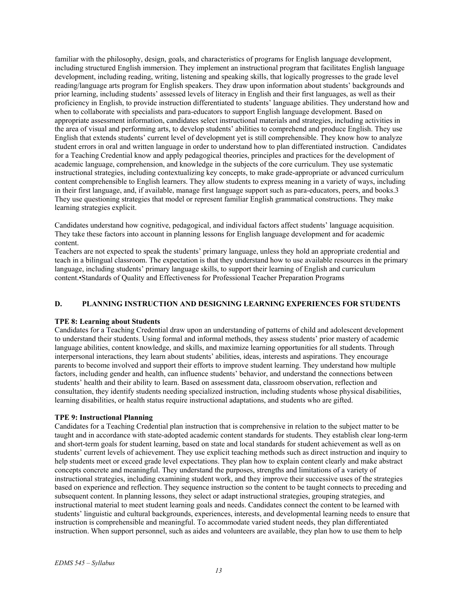familiar with the philosophy, design, goals, and characteristics of programs for English language development, including structured English immersion. They implement an instructional program that facilitates English language development, including reading, writing, listening and speaking skills, that logically progresses to the grade level reading/language arts program for English speakers. They draw upon information about students' backgrounds and prior learning, including students' assessed levels of literacy in English and their first languages, as well as their proficiency in English, to provide instruction differentiated to students' language abilities. They understand how and when to collaborate with specialists and para-educators to support English language development. Based on appropriate assessment information, candidates select instructional materials and strategies, including activities in the area of visual and performing arts, to develop students' abilities to comprehend and produce English. They use English that extends students' current level of development yet is still comprehensible. They know how to analyze student errors in oral and written language in order to understand how to plan differentiated instruction. Candidates for a Teaching Credential know and apply pedagogical theories, principles and practices for the development of academic language, comprehension, and knowledge in the subjects of the core curriculum. They use systematic instructional strategies, including contextualizing key concepts, to make grade-appropriate or advanced curriculum content comprehensible to English learners. They allow students to express meaning in a variety of ways, including in their first language, and, if available, manage first language support such as para-educators, peers, and books.3 They use questioning strategies that model or represent familiar English grammatical constructions. They make learning strategies explicit.

Candidates understand how cognitive, pedagogical, and individual factors affect students' language acquisition. They take these factors into account in planning lessons for English language development and for academic content.

Teachers are not expected to speak the students' primary language, unless they hold an appropriate credential and teach in a bilingual classroom. The expectation is that they understand how to use available resources in the primary language, including students' primary language skills, to support their learning of English and curriculum content.•Standards of Quality and Effectiveness for Professional Teacher Preparation Programs

#### **D. PLANNING INSTRUCTION AND DESIGNING LEARNING EXPERIENCES FOR STUDENTS**

#### **TPE 8: Learning about Students**

Candidates for a Teaching Credential draw upon an understanding of patterns of child and adolescent development to understand their students. Using formal and informal methods, they assess students' prior mastery of academic language abilities, content knowledge, and skills, and maximize learning opportunities for all students. Through interpersonal interactions, they learn about students' abilities, ideas, interests and aspirations. They encourage parents to become involved and support their efforts to improve student learning. They understand how multiple factors, including gender and health, can influence students' behavior, and understand the connections between students' health and their ability to learn. Based on assessment data, classroom observation, reflection and consultation, they identify students needing specialized instruction, including students whose physical disabilities, learning disabilities, or health status require instructional adaptations, and students who are gifted.

#### **TPE 9: Instructional Planning**

Candidates for a Teaching Credential plan instruction that is comprehensive in relation to the subject matter to be taught and in accordance with state-adopted academic content standards for students. They establish clear long-term and short-term goals for student learning, based on state and local standards for student achievement as well as on students' current levels of achievement. They use explicit teaching methods such as direct instruction and inquiry to help students meet or exceed grade level expectations. They plan how to explain content clearly and make abstract concepts concrete and meaningful. They understand the purposes, strengths and limitations of a variety of instructional strategies, including examining student work, and they improve their successive uses of the strategies based on experience and reflection. They sequence instruction so the content to be taught connects to preceding and subsequent content. In planning lessons, they select or adapt instructional strategies, grouping strategies, and instructional material to meet student learning goals and needs. Candidates connect the content to be learned with students' linguistic and cultural backgrounds, experiences, interests, and developmental learning needs to ensure that instruction is comprehensible and meaningful. To accommodate varied student needs, they plan differentiated instruction. When support personnel, such as aides and volunteers are available, they plan how to use them to help